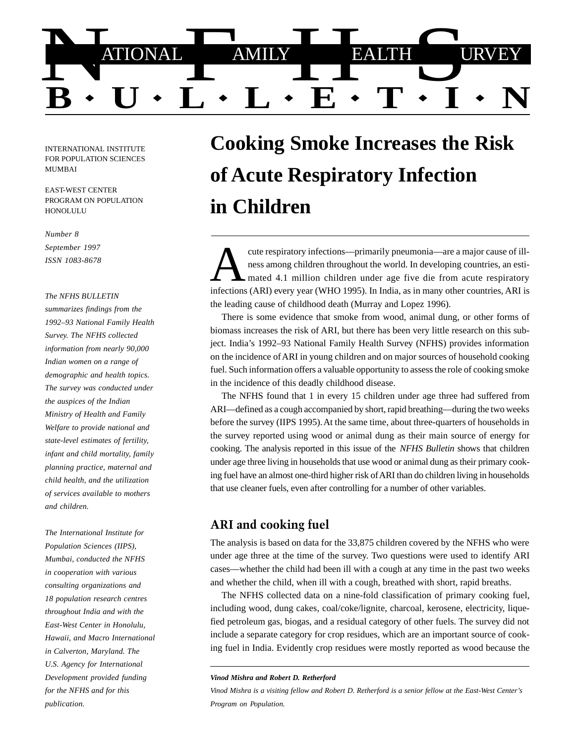

INTERNATIONAL INSTITUTE FOR POPULATION SCIENCES MUMBAI

EAST-WEST CENTER PROGRAM ON POPULATION **HONOLULU** 

*Number 8*

*September 1997 ISSN 1083-8678*

#### *The NFHS BULLETIN*

*summarizes findings from the 1992–93 National Family Health Survey. The NFHS collected information from nearly 90,000 Indian women on a range of demographic and health topics. The survey was conducted under the auspices of the Indian Ministry of Health and Family Welfare to provide national and state-level estimates of fertility, infant and child mortality, family planning practice, maternal and child health, and the utilization of services available to mothers and children.*

*The International Institute for Population Sciences (IIPS), Mumbai, conducted the NFHS in cooperation with various consulting organizations and 18 population research centres throughout India and with the East-West Center in Honolulu, Hawaii, and Macro International in Calverton, Maryland. The U.S. Agency for International Development provided funding for the NFHS and for this publication.*

# **Cooking Smoke Increases the Risk of Acute Respiratory Infection in Children**

cute respiratory infections—primarily pneumonia—are a major cause of ill-<br>ness among children throughout the world. In developing countries, an esti-<br>mated 4.1 million children under age five die from acute respiratory<br>inf infections (ARI) every year (WHO 1995). In India, as in many other countries, ARI is the leading cause of childhood death (Murray and Lopez 1996).

There is some evidence that smoke from wood, animal dung, or other forms of biomass increases the risk of ARI, but there has been very little research on this subject. India's 1992–93 National Family Health Survey (NFHS) provides information on the incidence of ARI in young children and on major sources of household cooking fuel. Such information offers a valuable opportunity to assess the role of cooking smoke in the incidence of this deadly childhood disease.

The NFHS found that 1 in every 15 children under age three had suffered from ARI—defined as a cough accompanied by short, rapid breathing—during the two weeks before the survey (IIPS 1995). At the same time, about three-quarters of households in the survey reported using wood or animal dung as their main source of energy for cooking. The analysis reported in this issue of the *NFHS Bulletin* shows that children under age three living in households that use wood or animal dung as their primary cooking fuel have an almost one-third higher risk of ARI than do children living in households that use cleaner fuels, even after controlling for a number of other variables.

#### ARI and cooking fuel

The analysis is based on data for the 33,875 children covered by the NFHS who were under age three at the time of the survey. Two questions were used to identify ARI cases—whether the child had been ill with a cough at any time in the past two weeks and whether the child, when ill with a cough, breathed with short, rapid breaths.

The NFHS collected data on a nine-fold classification of primary cooking fuel, including wood, dung cakes, coal/coke/lignite, charcoal, kerosene, electricity, liquefied petroleum gas, biogas, and a residual category of other fuels. The survey did not include a separate category for crop residues, which are an important source of cooking fuel in India. Evidently crop residues were mostly reported as wood because the

*Vinod Mishra and Robert D. Retherford*

*Vinod Mishra is a visiting fellow and Robert D. Retherford is a senior fellow at the East-West Center's Program on Population.*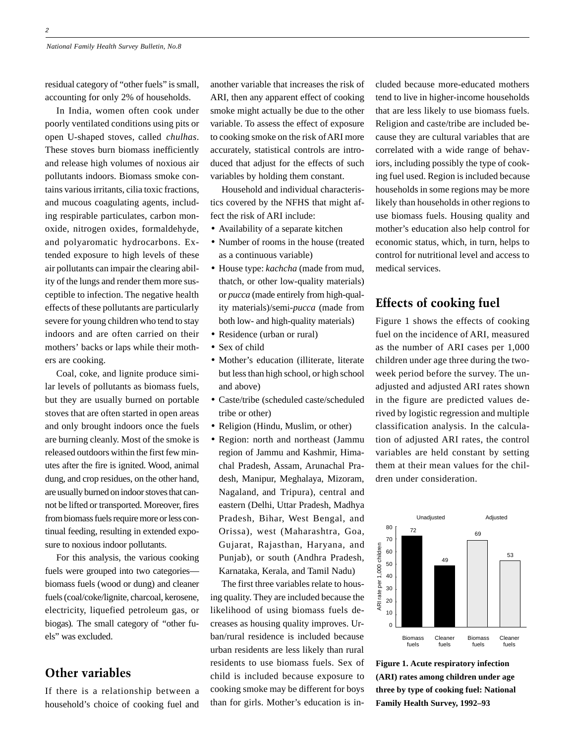residual category of "other fuels" is small, accounting for only 2% of households.

In India, women often cook under poorly ventilated conditions using pits or open U-shaped stoves, called *chulhas*. These stoves burn biomass inefficiently and release high volumes of noxious air pollutants indoors. Biomass smoke contains various irritants, cilia toxic fractions, and mucous coagulating agents, including respirable particulates, carbon monoxide, nitrogen oxides, formaldehyde, and polyaromatic hydrocarbons. Extended exposure to high levels of these air pollutants can impair the clearing ability of the lungs and render them more susceptible to infection. The negative health effects of these pollutants are particularly severe for young children who tend to stay indoors and are often carried on their mothers' backs or laps while their mothers are cooking.

Coal, coke, and lignite produce similar levels of pollutants as biomass fuels, but they are usually burned on portable stoves that are often started in open areas and only brought indoors once the fuels are burning cleanly. Most of the smoke is released outdoors within the first few minutes after the fire is ignited. Wood, animal dung, and crop residues, on the other hand, are usually burned on indoor stoves that cannot be lifted or transported. Moreover, fires from biomass fuels require more or less continual feeding, resulting in extended exposure to noxious indoor pollutants.

For this analysis, the various cooking fuels were grouped into two categories biomass fuels (wood or dung) and cleaner fuels (coal/coke/lignite, charcoal, kerosene, electricity, liquefied petroleum gas, or biogas). The small category of "other fuels" was excluded.

## Other variables

If there is a relationship between a household's choice of cooking fuel and another variable that increases the risk of ARI, then any apparent effect of cooking smoke might actually be due to the other variable. To assess the effect of exposure to cooking smoke on the risk of ARI more accurately, statistical controls are introduced that adjust for the effects of such variables by holding them constant.

Household and individual characteristics covered by the NFHS that might affect the risk of ARI include:

- Availability of a separate kitchen
- Number of rooms in the house (treated as a continuous variable)
- House type: *kachcha* (made from mud, thatch, or other low-quality materials) or *pucca* (made entirely from high-quality materials)/semi-*pucca* (made from both low- and high-quality materials)
- Residence (urban or rural)
- Sex of child
- Mother's education (illiterate, literate but less than high school, or high school and above)
- Caste/tribe (scheduled caste/scheduled tribe or other)
- Religion (Hindu, Muslim, or other)
- Region: north and northeast (Jammu region of Jammu and Kashmir, Himachal Pradesh, Assam, Arunachal Pradesh, Manipur, Meghalaya, Mizoram, Nagaland, and Tripura), central and eastern (Delhi, Uttar Pradesh, Madhya Pradesh, Bihar, West Bengal, and Orissa), west (Maharashtra, Goa, Gujarat, Rajasthan, Haryana, and Punjab), or south (Andhra Pradesh, Karnataka, Kerala, and Tamil Nadu)

The first three variables relate to housing quality. They are included because the likelihood of using biomass fuels decreases as housing quality improves. Urban/rural residence is included because urban residents are less likely than rural residents to use biomass fuels. Sex of child is included because exposure to cooking smoke may be different for boys than for girls. Mother's education is included because more-educated mothers tend to live in higher-income households that are less likely to use biomass fuels. Religion and caste/tribe are included because they are cultural variables that are correlated with a wide range of behaviors, including possibly the type of cooking fuel used. Region is included because households in some regions may be more likely than households in other regions to use biomass fuels. Housing quality and mother's education also help control for economic status, which, in turn, helps to control for nutritional level and access to medical services.

#### Effects of cooking fuel

Figure 1 shows the effects of cooking fuel on the incidence of ARI, measured as the number of ARI cases per 1,000 children under age three during the twoweek period before the survey. The unadjusted and adjusted ARI rates shown in the figure are predicted values derived by logistic regression and multiple classification analysis. In the calculation of adjusted ARI rates, the control variables are held constant by setting them at their mean values for the children under consideration.



**Figure 1. Acute respiratory infection (ARI) rates among children under age three by type of cooking fuel: National Family Health Survey, 1992–93**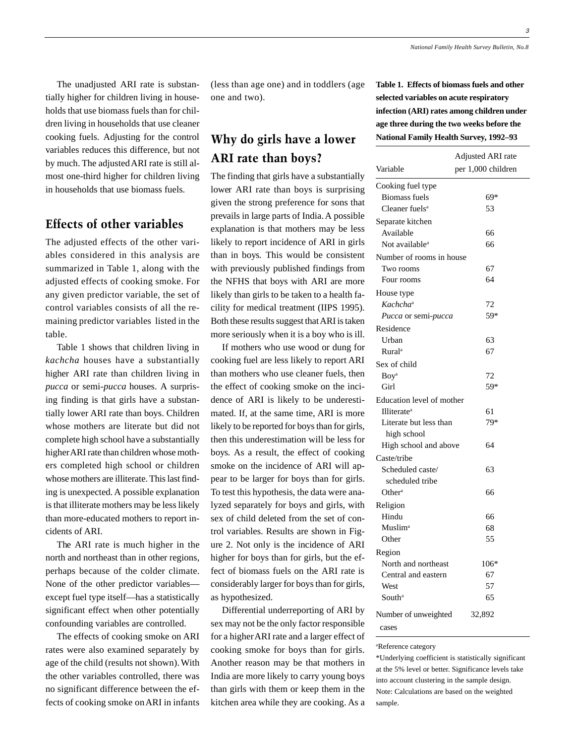The unadjusted ARI rate is substantially higher for children living in households that use biomass fuels than for children living in households that use cleaner cooking fuels. Adjusting for the control variables reduces this difference, but not by much. The adjusted ARI rate is still almost one-third higher for children living in households that use biomass fuels.

#### Effects of other variables

The adjusted effects of the other variables considered in this analysis are summarized in Table 1, along with the adjusted effects of cooking smoke. For any given predictor variable, the set of control variables consists of all the remaining predictor variables listed in the table.

Table 1 shows that children living in *kachcha* houses have a substantially higher ARI rate than children living in *pucca* or semi-*pucca* houses. A surprising finding is that girls have a substantially lower ARI rate than boys. Children whose mothers are literate but did not complete high school have a substantially higher ARI rate than children whose mothers completed high school or children whose mothers are illiterate. This last finding is unexpected. A possible explanation is that illiterate mothers may be less likely than more-educated mothers to report incidents of ARI.

The ARI rate is much higher in the north and northeast than in other regions, perhaps because of the colder climate. None of the other predictor variables except fuel type itself—has a statistically significant effect when other potentially confounding variables are controlled.

The effects of cooking smoke on ARI rates were also examined separately by age of the child (results not shown). With the other variables controlled, there was no significant difference between the effects of cooking smoke on ARI in infants (less than age one) and in toddlers (age one and two).

## Why do girls have a lower ARI rate than boys?

The finding that girls have a substantially lower ARI rate than boys is surprising given the strong preference for sons that prevails in large parts of India. A possible explanation is that mothers may be less likely to report incidence of ARI in girls than in boys. This would be consistent with previously published findings from the NFHS that boys with ARI are more likely than girls to be taken to a health facility for medical treatment (IIPS 1995). Both these results suggest that ARI is taken more seriously when it is a boy who is ill.

If mothers who use wood or dung for cooking fuel are less likely to report ARI than mothers who use cleaner fuels, then the effect of cooking smoke on the incidence of ARI is likely to be underestimated. If, at the same time, ARI is more likely to be reported for boys than for girls, then this underestimation will be less for boys. As a result, the effect of cooking smoke on the incidence of ARI will appear to be larger for boys than for girls. To test this hypothesis, the data were analyzed separately for boys and girls, with sex of child deleted from the set of control variables. Results are shown in Figure 2. Not only is the incidence of ARI higher for boys than for girls, but the effect of biomass fuels on the ARI rate is considerably larger for boys than for girls, as hypothesized.

Differential underreporting of ARI by sex may not be the only factor responsible for a higher ARI rate and a larger effect of cooking smoke for boys than for girls. Another reason may be that mothers in India are more likely to carry young boys than girls with them or keep them in the kitchen area while they are cooking. As a **Table 1. Effects of biomass fuels and other selected variables on acute respiratory infection (ARI) rates among children under age three during the two weeks before the National Family Health Survey, 1992–93**

| Variable                       | <b>Adjusted ARI</b> rate<br>per 1,000 children |
|--------------------------------|------------------------------------------------|
| Cooking fuel type              |                                                |
| <b>Biomass fuels</b>           | 69*                                            |
| Cleaner fuels <sup>a</sup>     | 53                                             |
| Separate kitchen               |                                                |
| Available                      | 66                                             |
| Not available <sup>a</sup>     | 66                                             |
| Number of rooms in house       |                                                |
| Two rooms                      | 67                                             |
| Four rooms                     | 64                                             |
| House type                     |                                                |
| Kachcha <sup>a</sup>           | 72                                             |
| Pucca or semi-pucca            | 59*                                            |
| Residence                      |                                                |
| Urban                          | 63                                             |
| <b>Rural</b> <sup>a</sup>      | 67                                             |
| Sex of child                   |                                                |
| <b>Boy</b> <sup>a</sup>        | 72                                             |
| Girl                           | 59*                                            |
| Education level of mother      |                                                |
| <b>Illiterate</b> <sup>a</sup> | 61                                             |
| Literate but less than         | 79*                                            |
| high school                    |                                                |
| High school and above          | 64                                             |
| Caste/tribe                    |                                                |
| Scheduled caste/               | 63                                             |
| scheduled tribe                |                                                |
| Other <sup>a</sup>             | 66                                             |
| Religion                       |                                                |
| Hindu                          | 66                                             |
| Muslim <sup>a</sup>            | 68                                             |
| Other                          | 55                                             |
| Region                         |                                                |
| North and northeast            | 106*                                           |
| Central and eastern            | 67                                             |
| West                           | 57                                             |
| South <sup>a</sup>             | 65                                             |
| Number of unweighted           | 32,892                                         |
| cases                          |                                                |

a Reference category

\*Underlying coefficient is statistically significant at the 5% level or better. Significance levels take into account clustering in the sample design. Note: Calculations are based on the weighted sample.